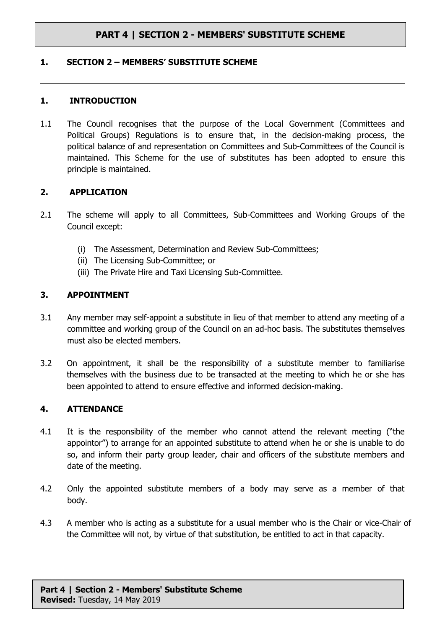# **PART 4 | SECTION 2 - MEMBERS' SUBSTITUTE SCHEME**

#### **1. SECTION 2 – MEMBERS' SUBSTITUTE SCHEME**

#### **1. INTRODUCTION**

1.1 The Council recognises that the purpose of the Local Government (Committees and Political Groups) Regulations is to ensure that, in the decision-making process, the political balance of and representation on Committees and Sub-Committees of the Council is maintained. This Scheme for the use of substitutes has been adopted to ensure this principle is maintained.

### **2. APPLICATION**

- 2.1 The scheme will apply to all Committees, Sub-Committees and Working Groups of the Council except:
	- (i) The Assessment, Determination and Review Sub-Committees;
	- (ii) The Licensing Sub-Committee; or
	- (iii) The Private Hire and Taxi Licensing Sub-Committee.

### **3. APPOINTMENT**

- 3.1 Any member may self-appoint a substitute in lieu of that member to attend any meeting of a committee and working group of the Council on an ad-hoc basis. The substitutes themselves must also be elected members.
- 3.2 On appointment, it shall be the responsibility of a substitute member to familiarise themselves with the business due to be transacted at the meeting to which he or she has been appointed to attend to ensure effective and informed decision-making.

### **4. ATTENDANCE**

- 4.1 It is the responsibility of the member who cannot attend the relevant meeting ("the appointor") to arrange for an appointed substitute to attend when he or she is unable to do so, and inform their party group leader, chair and officers of the substitute members and date of the meeting.
- 4.2 Only the appointed substitute members of a body may serve as a member of that body.
- 4.3 A member who is acting as a substitute for a usual member who is the Chair or vice-Chair of the Committee will not, by virtue of that substitution, be entitled to act in that capacity.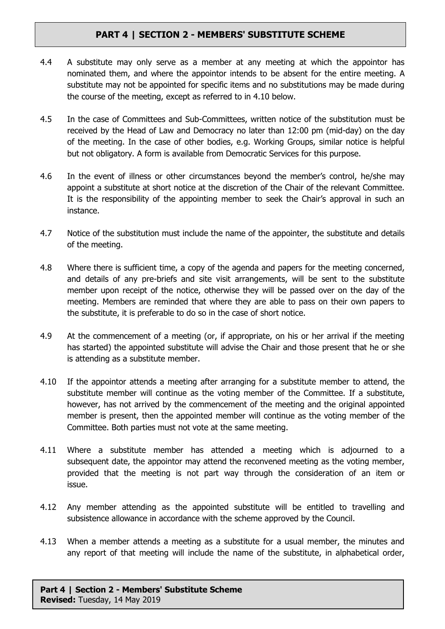# **PART 4 | SECTION 2 - MEMBERS' SUBSTITUTE SCHEME**

- 4.4 A substitute may only serve as a member at any meeting at which the appointor has nominated them, and where the appointor intends to be absent for the entire meeting. A substitute may not be appointed for specific items and no substitutions may be made during the course of the meeting, except as referred to in 4.10 below.
- 4.5 In the case of Committees and Sub-Committees, written notice of the substitution must be received by the Head of Law and Democracy no later than 12:00 pm (mid-day) on the day of the meeting. In the case of other bodies, e.g. Working Groups, similar notice is helpful but not obligatory. A form is available from Democratic Services for this purpose.
- 4.6 In the event of illness or other circumstances beyond the member's control, he/she may appoint a substitute at short notice at the discretion of the Chair of the relevant Committee. It is the responsibility of the appointing member to seek the Chair's approval in such an instance.
- 4.7 Notice of the substitution must include the name of the appointer, the substitute and details of the meeting.
- 4.8 Where there is sufficient time, a copy of the agenda and papers for the meeting concerned, and details of any pre-briefs and site visit arrangements, will be sent to the substitute member upon receipt of the notice, otherwise they will be passed over on the day of the meeting. Members are reminded that where they are able to pass on their own papers to the substitute, it is preferable to do so in the case of short notice.
- 4.9 At the commencement of a meeting (or, if appropriate, on his or her arrival if the meeting has started) the appointed substitute will advise the Chair and those present that he or she is attending as a substitute member.
- 4.10 If the appointor attends a meeting after arranging for a substitute member to attend, the substitute member will continue as the voting member of the Committee. If a substitute, however, has not arrived by the commencement of the meeting and the original appointed member is present, then the appointed member will continue as the voting member of the Committee. Both parties must not vote at the same meeting.
- 4.11 Where a substitute member has attended a meeting which is adjourned to a subsequent date, the appointor may attend the reconvened meeting as the voting member, provided that the meeting is not part way through the consideration of an item or issue.
- 4.12 Any member attending as the appointed substitute will be entitled to travelling and subsistence allowance in accordance with the scheme approved by the Council.
- 4.13 When a member attends a meeting as a substitute for a usual member, the minutes and any report of that meeting will include the name of the substitute, in alphabetical order,